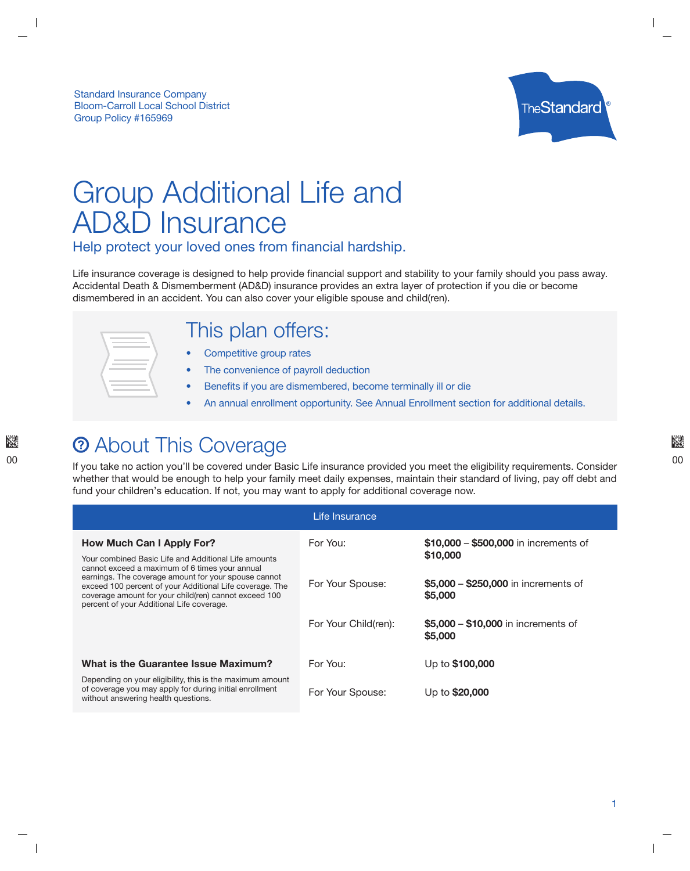

# Group Additional Life and AD&D Insurance

Help protect your loved ones from financial hardship.

Life insurance coverage is designed to help provide financial support and stability to your family should you pass away. Accidental Death & Dismemberment (AD&D) insurance provides an extra layer of protection if you die or become dismembered in an accident. You can also cover your eligible spouse and child(ren).

### This plan offers:

- Competitive group rates
- The convenience of payroll deduction
- Benefits if you are dismembered, become terminally ill or die
- An annual enrollment opportunity. See Annual Enrollment section for additional details.

### **2** About This Coverage

If you take no action you'll be covered under Basic Life insurance provided you meet the eligibility requirements. Consider whether that would be enough to help your family meet daily expenses, maintain their standard of living, pay off debt and fund your children's education. If not, you may want to apply for additional coverage now.

| Life Insurance                                                                                                                                                                                                                                                                                                                   |                      |                                                             |  |  |  |
|----------------------------------------------------------------------------------------------------------------------------------------------------------------------------------------------------------------------------------------------------------------------------------------------------------------------------------|----------------------|-------------------------------------------------------------|--|--|--|
| How Much Can I Apply For?                                                                                                                                                                                                                                                                                                        | For You:             | \$10,000 - \$500,000 in increments of                       |  |  |  |
| Your combined Basic Life and Additional Life amounts<br>cannot exceed a maximum of 6 times your annual<br>earnings. The coverage amount for your spouse cannot<br>exceed 100 percent of your Additional Life coverage. The<br>coverage amount for your child(ren) cannot exceed 100<br>percent of your Additional Life coverage. | For Your Spouse:     | \$10,000<br>\$5,000 - \$250,000 in increments of<br>\$5,000 |  |  |  |
|                                                                                                                                                                                                                                                                                                                                  | For Your Child(ren): | \$5,000 - \$10,000 in increments of<br>\$5,000              |  |  |  |
| What is the Guarantee Issue Maximum?                                                                                                                                                                                                                                                                                             | For You:             | Up to \$100,000                                             |  |  |  |
| Depending on your eligibility, this is the maximum amount<br>of coverage you may apply for during initial enrollment<br>without answering health questions.                                                                                                                                                                      | For Your Spouse:     | Up to \$20,000                                              |  |  |  |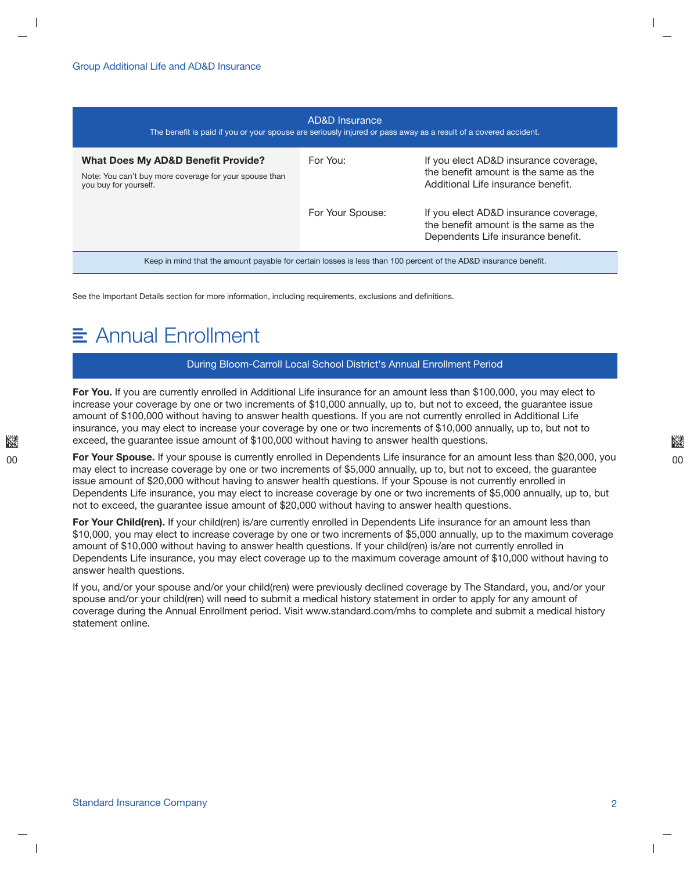| AD&D Insurance<br>The benefit is paid if you or your spouse are seriously injured or pass away as a result of a covered accident. |                  |                                                                                                                      |  |  |  |
|-----------------------------------------------------------------------------------------------------------------------------------|------------------|----------------------------------------------------------------------------------------------------------------------|--|--|--|
| <b>What Does My AD&amp;D Benefit Provide?</b><br>Note: You can't buy more coverage for your spouse than<br>you buy for yourself.  | For You:         | If you elect AD&D insurance coverage,<br>the benefit amount is the same as the<br>Additional Life insurance benefit. |  |  |  |
|                                                                                                                                   | For Your Spouse: | If you elect AD&D insurance coverage,<br>the benefit amount is the same as the<br>Dependents Life insurance benefit. |  |  |  |
| Keep in mind that the amount payable for certain losses is less than 100 percent of the AD&D insurance benefit.                   |                  |                                                                                                                      |  |  |  |

See the Important Details section for more information, including requirements, exclusions and definitions.

### Annual Enrollment

#### During Bloom-Carroll Local School District's Annual Enrollment Period

For You. If you are currently enrolled in Additional Life insurance for an amount less than \$100,000, you may elect to increase your coverage by one or two increments of \$10,000 annually, up to, but not to exceed, the guarantee issue amount of \$100,000 without having to answer health questions. If you are not currently enrolled in Additional Life insurance, you may elect to increase your coverage by one or two increments of \$10,000 annually, up to, but not to exceed, the guarantee issue amount of \$100,000 without having to answer health questions.

For Your Spouse. If your spouse is currently enrolled in Dependents Life insurance for an amount less than \$20,000, you may elect to increase coverage by one or two increments of \$5,000 annually, up to, but not to exceed, the guarantee issue amount of \$20,000 without having to answer health questions. If your Spouse is not currently enrolled in Dependents Life insurance, you may elect to increase coverage by one or two increments of \$5,000 annually, up to, but not to exceed, the guarantee issue amount of \$20,000 without having to answer health questions.

For Your Child(ren). If your child(ren) is/are currently enrolled in Dependents Life insurance for an amount less than \$10,000, you may elect to increase coverage by one or two increments of \$5,000 annually, up to the maximum coverage amount of \$10,000 without having to answer health questions. If your child(ren) is/are not currently enrolled in Dependents Life insurance, you may elect coverage up to the maximum coverage amount of \$10,000 without having to answer health questions.

If you, and/or your spouse and/or your child(ren) were previously declined coverage by The Standard, you, and/or your spouse and/or your child(ren) will need to submit a medical history statement in order to apply for any amount of coverage during the Annual Enrollment period. Visit www.standard.com/mhs to complete and submit a medical history statement online.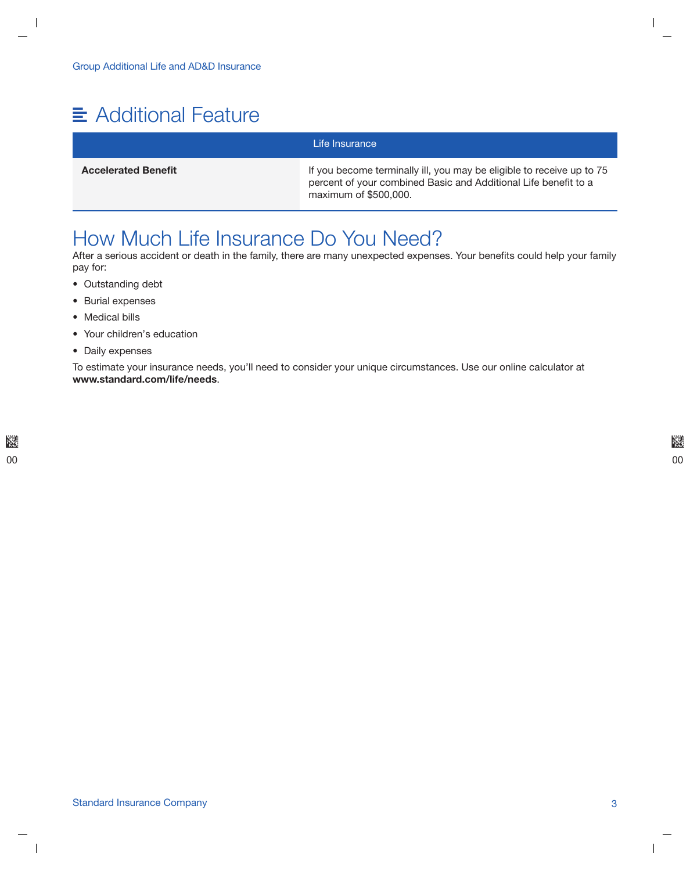## Additional Feature

### Life Insurance

Accelerated Benefit **If** you become terminally ill, you may be eligible to receive up to 75 percent of your combined Basic and Additional Life benefit to a maximum of \$500,000.

### How Much Life Insurance Do You Need?

After a serious accident or death in the family, there are many unexpected expenses. Your benefits could help your family pay for:

- Outstanding debt
- Burial expenses
- Medical bills
- Your children's education
- Daily expenses

To estimate your insurance needs, you'll need to consider your unique circumstances. Use our online calculator at www.standard.com/life/needs.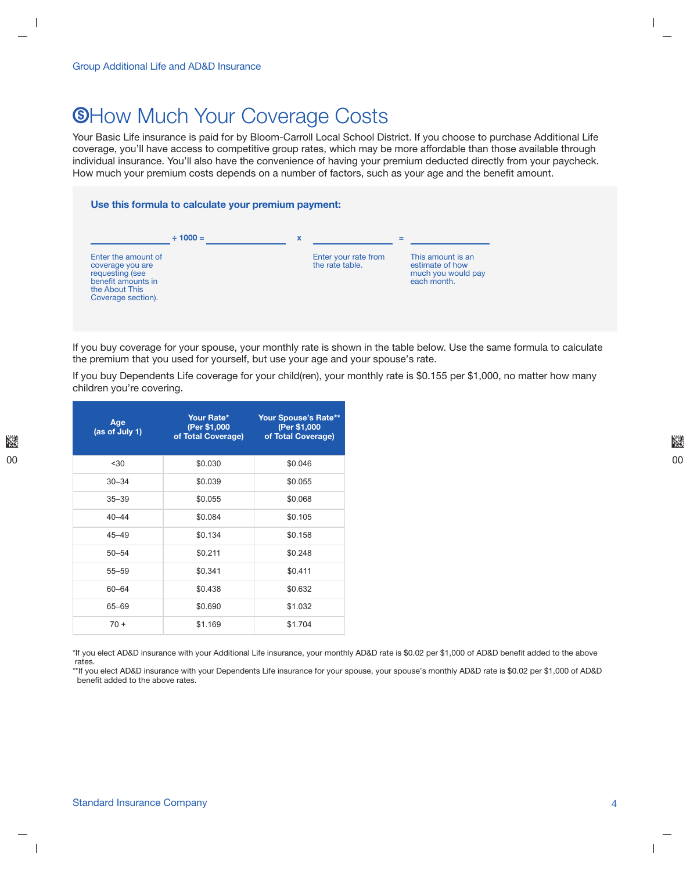### **<sup>®How Much Your Coverage Costs**</sup>

Your Basic Life insurance is paid for by Bloom-Carroll Local School District. If you choose to purchase Additional Life coverage, you'll have access to competitive group rates, which may be more affordable than those available through individual insurance. You'll also have the convenience of having your premium deducted directly from your paycheck. How much your premium costs depends on a number of factors, such as your age and the benefit amount.



If you buy coverage for your spouse, your monthly rate is shown in the table below. Use the same formula to calculate the premium that you used for yourself, but use your age and your spouse's rate.

If you buy Dependents Life coverage for your child(ren), your monthly rate is \$0.155 per \$1,000, no matter how many children you're covering.

| Age<br>(as of July 1) | Your Rate*<br>(Per \$1,000<br>of Total Coverage) | <b>Your Spouse's Rate**</b><br>(Per \$1,000<br>of Total Coverage) |
|-----------------------|--------------------------------------------------|-------------------------------------------------------------------|
| < 30                  | \$0.030                                          | \$0.046                                                           |
| $30 - 34$             | \$0.039                                          | \$0.055                                                           |
| $35 - 39$             | \$0.055                                          | \$0.068                                                           |
| $40 - 44$             | \$0.084                                          | \$0.105                                                           |
| $45 - 49$             | \$0.134                                          | \$0.158                                                           |
| $50 - 54$             | \$0.211                                          | \$0.248                                                           |
| $55 - 59$             | \$0.341                                          | \$0.411                                                           |
| $60 - 64$             | \$0.438                                          | \$0.632                                                           |
| 65-69                 | \$0.690                                          | \$1.032                                                           |
| $70+$                 | \$1.169                                          | \$1.704                                                           |

\*If you elect AD&D insurance with your Additional Life insurance, your monthly AD&D rate is \$0.02 per \$1,000 of AD&D benefit added to the above rates.

\*\*If you elect AD&D insurance with your Dependents Life insurance for your spouse, your spouse's monthly AD&D rate is \$0.02 per \$1,000 of AD&D benefit added to the above rates.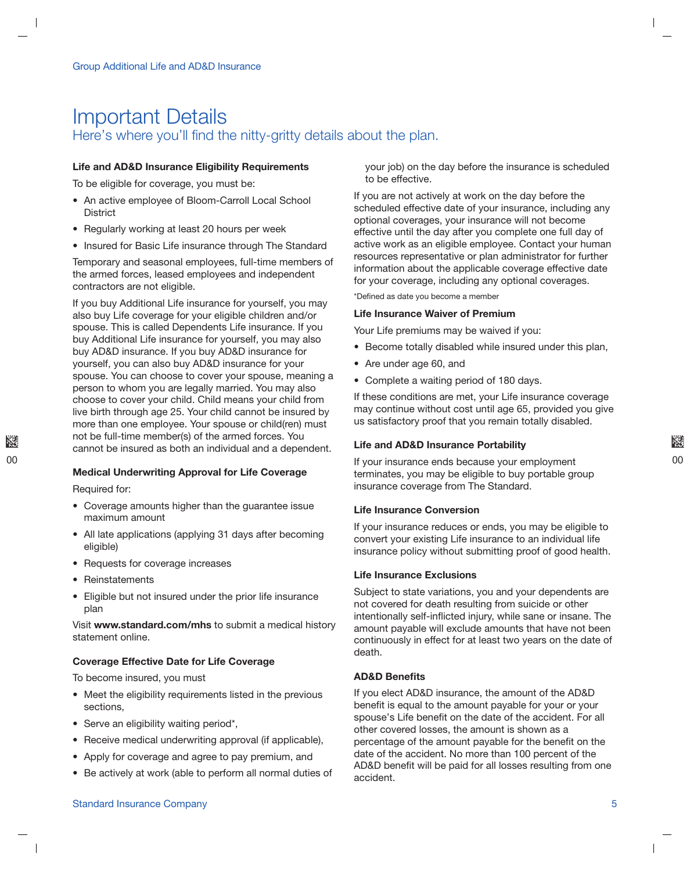### Important Details Here's where you'll find the nitty-gritty details about the plan.

#### Life and AD&D Insurance Eligibility Requirements

To be eligible for coverage, you must be:

- An active employee of Bloom-Carroll Local School **District**
- Regularly working at least 20 hours per week
- Insured for Basic Life insurance through The Standard

Temporary and seasonal employees, full-time members of the armed forces, leased employees and independent contractors are not eligible.

If you buy Additional Life insurance for yourself, you may also buy Life coverage for your eligible children and/or spouse. This is called Dependents Life insurance. If you buy Additional Life insurance for yourself, you may also buy AD&D insurance. If you buy AD&D insurance for yourself, you can also buy AD&D insurance for your spouse. You can choose to cover your spouse, meaning a person to whom you are legally married. You may also choose to cover your child. Child means your child from live birth through age 25. Your child cannot be insured by more than one employee. Your spouse or child(ren) must not be full-time member(s) of the armed forces. You cannot be insured as both an individual and a dependent.

#### Medical Underwriting Approval for Life Coverage

Required for:

- Coverage amounts higher than the guarantee issue maximum amount
- All late applications (applying 31 days after becoming eligible)
- Requests for coverage increases
- Reinstatements
- Eligible but not insured under the prior life insurance plan

Visit www.standard.com/mhs to submit a medical history statement online.

#### Coverage Effective Date for Life Coverage

To become insured, you must

- Meet the eligibility requirements listed in the previous sections,
- Serve an eligibility waiting period\*,
- Receive medical underwriting approval (if applicable),
- Apply for coverage and agree to pay premium, and
- Be actively at work (able to perform all normal duties of

your job) on the day before the insurance is scheduled to be effective.

If you are not actively at work on the day before the scheduled effective date of your insurance, including any optional coverages, your insurance will not become effective until the day after you complete one full day of active work as an eligible employee. Contact your human resources representative or plan administrator for further information about the applicable coverage effective date for your coverage, including any optional coverages.

\*Defined as date you become a member

#### Life Insurance Waiver of Premium

Your Life premiums may be waived if you:

- Become totally disabled while insured under this plan,
- Are under age 60, and
- Complete a waiting period of 180 days.

If these conditions are met, your Life insurance coverage may continue without cost until age 65, provided you give us satisfactory proof that you remain totally disabled.

#### Life and AD&D Insurance Portability

If your insurance ends because your employment terminates, you may be eligible to buy portable group insurance coverage from The Standard.

#### Life Insurance Conversion

If your insurance reduces or ends, you may be eligible to convert your existing Life insurance to an individual life insurance policy without submitting proof of good health.

#### Life Insurance Exclusions

Subject to state variations, you and your dependents are not covered for death resulting from suicide or other intentionally self-inflicted injury, while sane or insane. The amount payable will exclude amounts that have not been continuously in effect for at least two years on the date of death.

#### AD&D Benefits

If you elect AD&D insurance, the amount of the AD&D benefit is equal to the amount payable for your or your spouse's Life benefit on the date of the accident. For all other covered losses, the amount is shown as a percentage of the amount payable for the benefit on the date of the accident. No more than 100 percent of the AD&D benefit will be paid for all losses resulting from one accident.

#### Standard Insurance Company 5